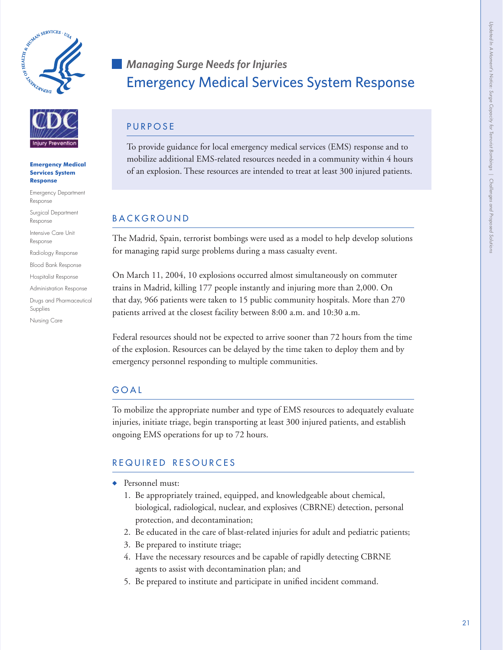



#### **Emergency Medical Services System Response**

Emergency Department Response

Surgical Department Response

Intensive Care Unit Response

Radiology Response

Blood Bank Response

Hospitalist Response

Administration Response

Drugs and Pharmaceutical Supplies

Nursing Care

# *Managing Surge Needs for Injuries* Emergency Medical Services System Response

# **PURPOSE**

To provide guidance for local emergency medical services (EMS) response and to mobilize additional EMS-related resources needed in a community within 4 hours of an explosion. These resources are intended to treat at least 300 injured patients.

# **BACKGROUND**

The Madrid, Spain, terrorist bombings were used as a model to help develop solutions for managing rapid surge problems during a mass casualty event.

On March 11, 2004, 10 explosions occurred almost simultaneously on commuter trains in Madrid, killing 177 people instantly and injuring more than 2,000. On that day, 966 patients were taken to 15 public community hospitals. More than 270 patients arrived at the closest facility between 8:00 a.m. and 10:30 a.m.

Federal resources should not be expected to arrive sooner than 72 hours from the time of the explosion. Resources can be delayed by the time taken to deploy them and by emergency personnel responding to multiple communities.

# g o a l

To mobilize the appropriate number and type of EMS resources to adequately evaluate injuries, initiate triage, begin transporting at least 300 injured patients, and establish ongoing EMS operations for up to 72 hours.

# REQUIRED RESOURCES

- ♦ Personnel must:
	- 1. Be appropriately trained, equipped, and knowledgeable about chemical, biological, radiological, nuclear, and explosives (CBRNE) detection, personal protection, and decontamination;
	- 2. Be educated in the care of blast-related injuries for adult and pediatric patients;
	- 3. Be prepared to institute triage;
	- 4. Have the necessary resources and be capable of rapidly detecting CBRNE agents to assist with decontamination plan; and
	- 5. Be prepared to institute and participate in unified incident command.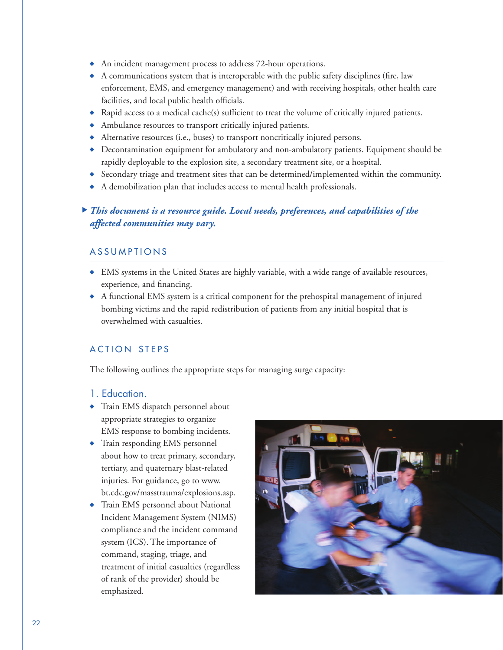- ♦ An incident management process to address 72-hour operations.
- ♦ A communications system that is interoperable with the public safety disciplines (fire, law enforcement, EMS, and emergency management) and with receiving hospitals, other health care facilities, and local public health officials.
- ♦ Rapid access to a medical cache(s) sufficient to treat the volume of critically injured patients.
- ♦ Ambulance resources to transport critically injured patients.
- ♦ Alternative resources (i.e., buses) to transport noncritically injured persons.
- ♦ Decontamination equipment for ambulatory and non-ambulatory patients. Equipment should be rapidly deployable to the explosion site, a secondary treatment site, or a hospital.
- ♦ Secondary triage and treatment sites that can be determined/implemented within the community.
- ♦ A demobilization plan that includes access to mental health professionals.

## *This document is a resource guide. Local needs, preferences, and capabilities of the*  ⊲*affected communities may vary.*

#### **ASSUMPTIONS**

- ♦ EMS systems in the United States are highly variable, with a wide range of available resources, experience, and financing.
- ♦ A functional EMS system is a critical component for the prehospital management of injured bombing victims and the rapid redistribution of patients from any initial hospital that is overwhelmed with casualties.

#### ACTION STEPS

The following outlines the appropriate steps for managing surge capacity:

#### 1. Education.

- ♦ Train EMS dispatch personnel about appropriate strategies to organize EMS response to bombing incidents.
- ♦ Train responding EMS personnel about how to treat primary, secondary, tertiary, and quaternary blast-related injuries. For guidance, go to www. [bt.cdc.gov/masstrauma/explosions.asp.](www.bt.cdc.gov/masstrauma/explosions.asp)
- ♦ Train EMS personnel about National Incident Management System (NIMS) compliance and the incident command system (ICS). The importance of command, staging, triage, and treatment of initial casualties (regardless of rank of the provider) should be emphasized.

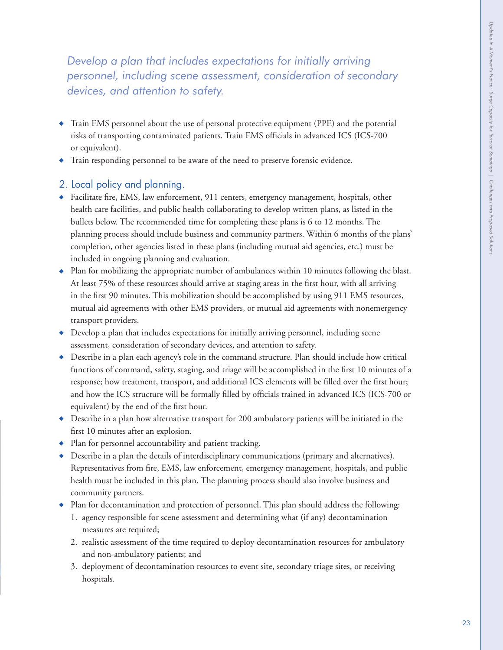*Develop a plan that includes expectations for initially arriving personnel, including scene assessment, consideration of secondary devices, and attention to safety.*

- ♦ Train EMS personnel about the use of personal protective equipment (PPE) and the potential risks of transporting contaminated patients. Train EMS officials in advanced ICS (ICS-700 or equivalent).
- ♦ Train responding personnel to be aware of the need to preserve forensic evidence.

#### 2. Local policy and planning.

- ♦ Facilitate fire, EMS, law enforcement, 911 centers, emergency management, hospitals, other health care facilities, and public health collaborating to develop written plans, as listed in the bullets below. The recommended time for completing these plans is 6 to 12 months. The planning process should include business and community partners. Within 6 months of the plans' completion, other agencies listed in these plans (including mutual aid agencies, etc.) must be included in ongoing planning and evaluation.
- ♦ Plan for mobilizing the appropriate number of ambulances within 10 minutes following the blast. At least 75% of these resources should arrive at staging areas in the first hour, with all arriving in the first 90 minutes. This mobilization should be accomplished by using 911 EMS resources, mutual aid agreements with other EMS providers, or mutual aid agreements with nonemergency transport providers.
- ♦ Develop a plan that includes expectations for initially arriving personnel, including scene assessment, consideration of secondary devices, and attention to safety.
- ♦ Describe in a plan each agency's role in the command structure. Plan should include how critical functions of command, safety, staging, and triage will be accomplished in the first 10 minutes of a response; how treatment, transport, and additional ICS elements will be filled over the first hour; and how the ICS structure will be formally filled by officials trained in advanced ICS (ICS-700 or equivalent) by the end of the first hour.
- ♦ Describe in a plan how alternative transport for 200 ambulatory patients will be initiated in the first 10 minutes after an explosion.
- ♦ Plan for personnel accountability and patient tracking.
- ♦ Describe in a plan the details of interdisciplinary communications (primary and alternatives). Representatives from fire, EMS, law enforcement, emergency management, hospitals, and public health must be included in this plan. The planning process should also involve business and community partners.
- ♦ Plan for decontamination and protection of personnel. This plan should address the following:
	- 1. agency responsible for scene assessment and determining what (if any) decontamination measures are required;
	- 2. realistic assessment of the time required to deploy decontamination resources for ambulatory and non-ambulatory patients; and
	- 3. deployment of decontamination resources to event site, secondary triage sites, or receiving hospitals.